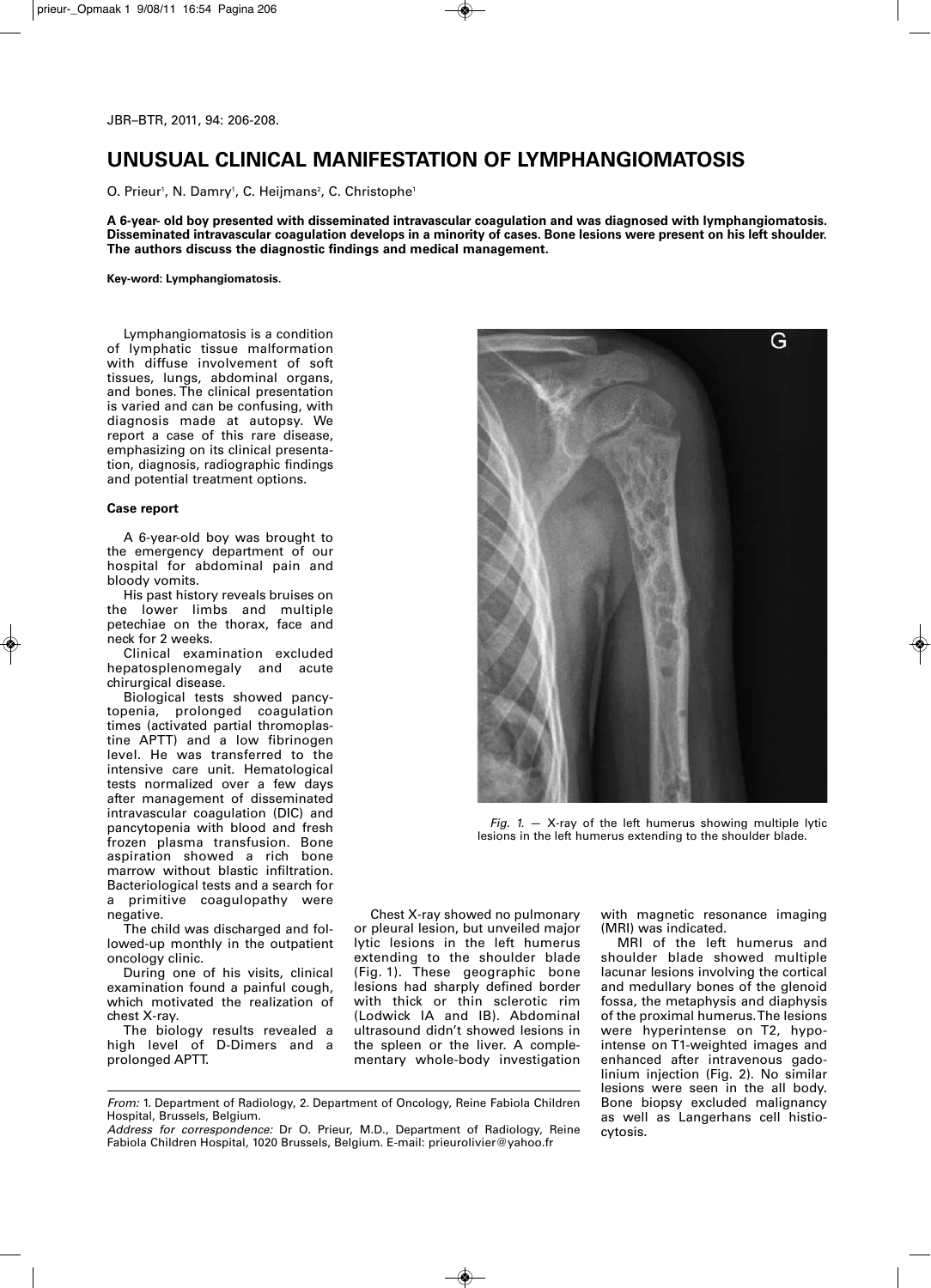# **UNUSUAL CLINICAL MANIFESTATION OF LYMPHANGIOMATOSIS**

O. Prieur', N. Damry', C. Heijmans<sup>2</sup>, C. Christophe'

**A 6-year- old boy presented with disseminated intravascular coagulation and was diagnosed with lymphangiomatosis.** Disseminated intravascular coagulation develops in a minority of cases. Bone lesions were present on his left shoulder. **The authors discuss the diagnostic findings and medical management.**

**Key-word: Lymphangiomatosis.**

Lymphangiomatosis is a condition of lymphatic tissue malformation with diffuse involvement of soft tissues, lungs, abdominal organs, and bones. The clinical presentation is varied and can be confusing, with diagnosis made at autopsy. We report a case of this rare disease, emphasizing on its clinical presentation, diagnosis, radiographic findings and potential treatment options.

## **Case report**

A 6-year-old boy was brought to the emergency department of our hospital for abdominal pain and bloody vomits.

His past history reveals bruises on the lower limbs and multiple petechiae on the thorax, face and neck for 2 weeks.

Clinical examination excluded hepatosplenomegaly and acute chirurgical disease.

Biological tests showed pancytopenia, prolonged coagulation times (activated partial thromoplastine APTT) and a low fibrinogen level. He was transferred to the intensive care unit. Hematological tests normalized over a few days after management of disseminated intravascular coagulation (DIC) and pancytopenia with blood and fresh frozen plasma transfusion. Bone aspiration showed a rich bone marrow without blastic infiltration. Bacteriological tests and a search for a primitive coagulopathy were negative.

The child was discharged and followed-up monthly in the outpatient oncology clinic.

During one of his visits, clinical examination found a painful cough, which motivated the realization of chest X-ray.

The biology results revealed a high level of D-Dimers and a prolonged APTT.



*Fig. 1.* — X-ray of the left humerus showing multiple lytic lesions in the left humerus extending to the shoulder blade.

Chest X-ray showed no pulmonary or pleural lesion, but unveiled major lytic lesions in the left humerus extending to the shoulder blade (Fig. 1). These geographic bone lesions had sharply defined border with thick or thin sclerotic rim (Lodwick IA and IB). Abdominal ultrasound didn't showed lesions in the spleen or the liver. A complementary whole-body investigation with magnetic resonance imaging (MRI) was indicated.

MRI of the left humerus and shoulder blade showed multiple lacunar lesions involving the cortical and medullary bones of the glenoid fossa, the metaphysis and diaphysis of the proximal humerus.The lesions were hyperintense on T2, hypointense on T1-weighted images and enhanced after intravenous gadolinium injection (Fig. 2). No similar lesions were seen in the all body. Bone biopsy excluded malignancy as well as Langerhans cell histiocytosis.

*From:* 1. Department of Radiology, 2. Department of Oncology, Reine Fabiola Children Hospital, Brussels, Belgium.

*Address for correspondence:* Dr O. Prieur, M.D., Department of Radiology, Reine Fabiola Children Hospital, 1020 Brussels, Belgium. E-mail: prieurolivier@yahoo.fr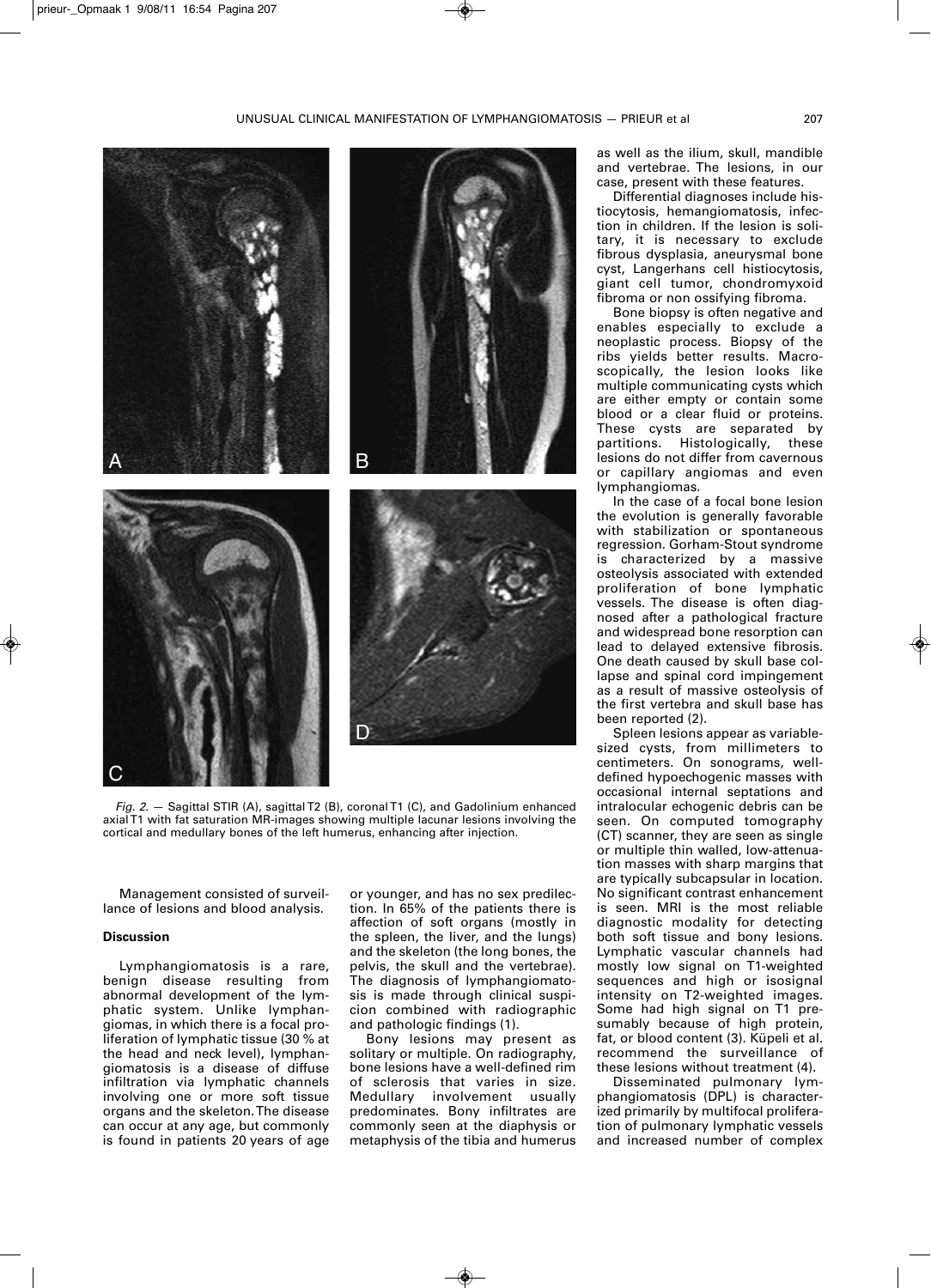

*Fig. 2.* — Sagittal STIR (A), sagittalT2 (B), coronalT1 (C), and Gadolinium enhanced axialT1 with fat saturation MR-images showing multiple lacunar lesions involving the cortical and medullary bones of the left humerus, enhancing after injection.

Management consisted of surveillance of lesions and blood analysis.

## **Discussion**

Lymphangiomatosis is a rare, benign disease resulting from abnormal development of the lymphatic system. Unlike lymphangiomas, in which there is a focal proliferation of lymphatic tissue (30 % at the head and neck level), lymphangiomatosis is a disease of diffuse infiltration via lymphatic channels involving one or more soft tissue organs and the skeleton.The disease can occur at any age, but commonly is found in patients 20 years of age

or younger, and has no sex predilection. In 65% of the patients there is affection of soft organs (mostly in the spleen, the liver, and the lungs) and the skeleton (the long bones, the pelvis, the skull and the vertebrae). The diagnosis of lymphangiomatosis is made through clinical suspicion combined with radiographic and pathologic findings (1).

Bony lesions may present as solitary or multiple. On radiography, bone lesions have a well-defined rim of sclerosis that varies in size. Medullary involvement usually predominates. Bony infiltrates are commonly seen at the diaphysis or metaphysis of the tibia and humerus as well as the ilium, skull, mandible and vertebrae. The lesions, in our case, present with these features.

Differential diagnoses include histiocytosis, hemangiomatosis, infection in children. If the lesion is solitary, it is necessary to exclude fibrous dysplasia, aneurysmal bone cyst, Langerhans cell histiocytosis, giant cell tumor, chondromyxoid fibroma or non ossifying fibroma.

Bone biopsy is often negative and enables especially to exclude a neoplastic process. Biopsy of the ribs yields better results. Macroscopically, the lesion looks like multiple communicating cysts which are either empty or contain some blood or a clear fluid or proteins. These cysts are separated by partitions. Histologically, these lesions do not differ from cavernous or capillary angiomas and even lymphangiomas.

In the case of a focal bone lesion the evolution is generally favorable with stabilization or spontaneous regression. Gorham-Stout syndrome is characterized by a massive osteolysis associated with extended proliferation of bone lymphatic vessels. The disease is often diagnosed after a pathological fracture and widespread bone resorption can lead to delayed extensive fibrosis. One death caused by skull base collapse and spinal cord impingement as a result of massive osteolysis of the first vertebra and skull base has been reported (2).

Spleen lesions appear as variablesized cysts, from millimeters to centimeters. On sonograms, welldefined hypoechogenic masses with occasional internal septations and intralocular echogenic debris can be seen. On computed tomography (CT) scanner, they are seen as single or multiple thin walled, low-attenuation masses with sharp margins that are typically subcapsular in location. No significant contrast enhancement is seen. MRI is the most reliable diagnostic modality for detecting both soft tissue and bony lesions. Lymphatic vascular channels had mostly low signal on T1-weighted sequences and high or isosignal intensity on T2-weighted images. Some had high signal on T1 presumably because of high protein, fat, or blood content (3). Küpeli et al. recommend the surveillance of these lesions without treatment (4).

Disseminated pulmonary lymphangiomatosis (DPL) is characterized primarily by multifocal proliferation of pulmonary lymphatic vessels and increased number of complex